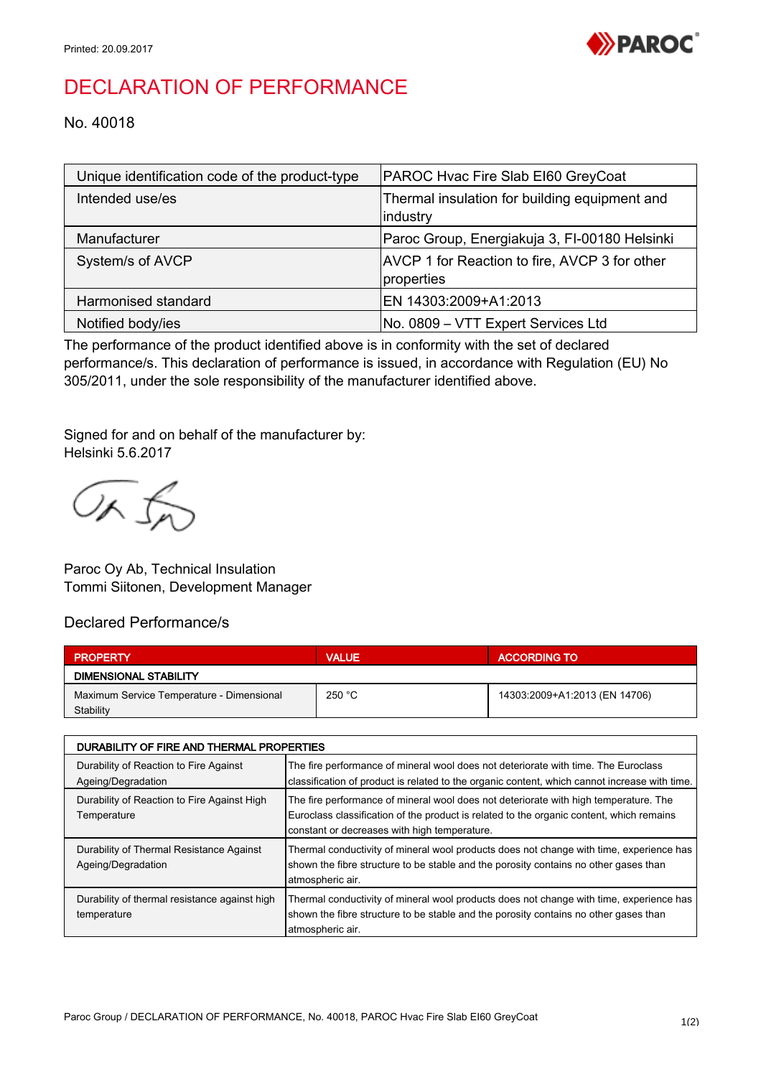

## DECLARATION OF PERFORMANCE

No. 40018

| Unique identification code of the product-type | PAROC Hvac Fire Slab EI60 GreyCoat                          |
|------------------------------------------------|-------------------------------------------------------------|
| Intended use/es                                | Thermal insulation for building equipment and<br>industry   |
| Manufacturer                                   | Paroc Group, Energiakuja 3, FI-00180 Helsinki               |
| System/s of AVCP                               | AVCP 1 for Reaction to fire, AVCP 3 for other<br>properties |
| Harmonised standard                            | EN 14303:2009+A1:2013                                       |
| Notified body/ies                              | No. 0809 - VTT Expert Services Ltd                          |

The performance of the product identified above is in conformity with the set of declared performance/s. This declaration of performance is issued, in accordance with Regulation (EU) No 305/2011, under the sole responsibility of the manufacturer identified above.

Signed for and on behalf of the manufacturer by: Helsinki 5.6.2017

OR fr

Paroc Oy Ab, Technical Insulation Tommi Siitonen, Development Manager

## Declared Performance/s

| <b>PROPERTY</b>                           | <b>VALUE</b> | <b>ACCORDING TO</b>           |  |  |
|-------------------------------------------|--------------|-------------------------------|--|--|
| DIMENSIONAL STABILITY                     |              |                               |  |  |
| Maximum Service Temperature - Dimensional | 250 °C       | 14303:2009+A1:2013 (EN 14706) |  |  |
| Stability                                 |              |                               |  |  |

| DURABILITY OF FIRE AND THERMAL PROPERTIES                      |                                                                                                                                                                                                                                  |  |
|----------------------------------------------------------------|----------------------------------------------------------------------------------------------------------------------------------------------------------------------------------------------------------------------------------|--|
| Durability of Reaction to Fire Against<br>Ageing/Degradation   | The fire performance of mineral wool does not deteriorate with time. The Euroclass<br>classification of product is related to the organic content, which cannot increase with time.                                              |  |
| Durability of Reaction to Fire Against High<br>Temperature     | The fire performance of mineral wool does not deteriorate with high temperature. The<br>Euroclass classification of the product is related to the organic content, which remains<br>constant or decreases with high temperature. |  |
| Durability of Thermal Resistance Against<br>Ageing/Degradation | Thermal conductivity of mineral wool products does not change with time, experience has<br>shown the fibre structure to be stable and the porosity contains no other gases than<br>atmospheric air.                              |  |
| Durability of thermal resistance against high<br>temperature   | Thermal conductivity of mineral wool products does not change with time, experience has<br>shown the fibre structure to be stable and the porosity contains no other gases than<br>atmospheric air.                              |  |